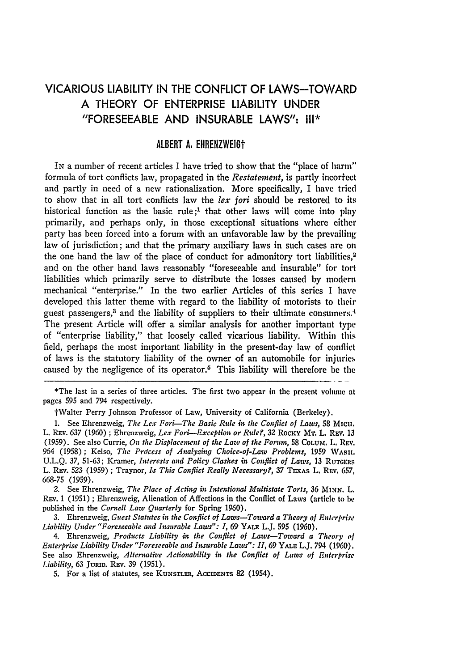## **VICARIOUS** LIABILITY **IN** THE **CONFLICT** OF LAWS-TOWARD **A** THEORY OF ENTERPRISE LIABILITY **UNDER** "FORESEEABLE **AND INSURABLE** LAWS": **III\***

## ALBERT **A.** EHRENZWEIGt

IN a number of recent articles I have tried to show that the "place of harm" formula of tort conflicts law, propagated in the *Restatement*, is partly incorfect and partly in need of a new rationalization. More specifically, I have tried to show that in all tort conflicts law the *lex fori* should be restored to its historical function as the basic rule;<sup>1</sup> that other laws will come into play primarily, and perhaps only, in those exceptional situations where either party has been forced into a forum with an unfavorable law by the prevailing law of jurisdiction; and that the primary auxiliary laws in such cases are on the one hand the law of the place of conduct for admonitory tort liabilities, $2$ and on the other hand laws reasonably "foreseeable and insurable" for tort liabilities which primarily serve to distribute the losses caused by modern mechanical "enterprise." In the two earlier Articles of this series I have developed this latter theme with regard to the liability of motorists to their guest passengers,<sup>3</sup> and the liability of suppliers to their ultimate consumers.<sup>4</sup> The present Article will offer a similar analysis for another important type of "enterprise liability," that loosely called vicarious liability. Within this field, perhaps the most important liability in the present-day law of conflict of laws is the statutory liability of the owner of an automobile for injuries caused by the negligence of its operator.<sup>5</sup> This liability will therefore be the

\*The last in a series of three articles. The first two appear in the present volume at pages 595 and 794 respectively.

tWalter Perry Johnson Professor of Law, University of California (Berkeley).

1. See Ehrenzweig, *The Lex Fori-The Basic Rule in the Conflict of Laws,* 58 Micu. L. REV. 637 (1960); Ehrenzweig, Lex Fori-Exception or Rule?, 32 Rocky Mr. L. REV. 13 (1959). See also Currie, *On the Displacement of the Law of the Forum*, 58 CoLUM. L. REV. 964 (1958); Kelso, *The Process of Analyzing Choice-of-Law Problems,* 1959 WASH, U.L.Q. 37, 51-63; Kramer, *Interests and Policy Clashes in Conflict of Laws*, 13 RUTGERS L. REv. 523 (1959) ; Traynor, *Is This Conflict Really Necessary?*, 37 TEXAS L. REv. 657, 668-75 (1959).

2. See Ehrenzweig, *The Place of Acting in Intentional Multistate Torts,* 36 **MINN.** L. REV. 1 (1951) ; Ehrenzweig, Alienation of Affections in the Conflict of Laws (article to **be** published in the *Cornell Law Quarterly* for Spring 1960).

3. Ehrenzweig, *Guest Statutes in the Conflict of Laws-Toward a Theory of Ent'rprise Liability Under "Foreseeable and Insurable Laws": I,* 69 YALE L.J. 595 (1960).

4. Ehrenzweig, *Products Liability in the Conflict of Laws-Toward a Theory of Enterprise Liability Under "Foreseeable and Insurable Laws": 11,* **69 YALE** L.J. 794 (1960). See also Ehrenzweig, *Alternative Actionability in the Conflict of Laws of Enterprise Liability*, 63 JURID. REV. 39 (1951).

5. For a list of statutes, see KUNSTLER, ACCIDENTS 82 (1954).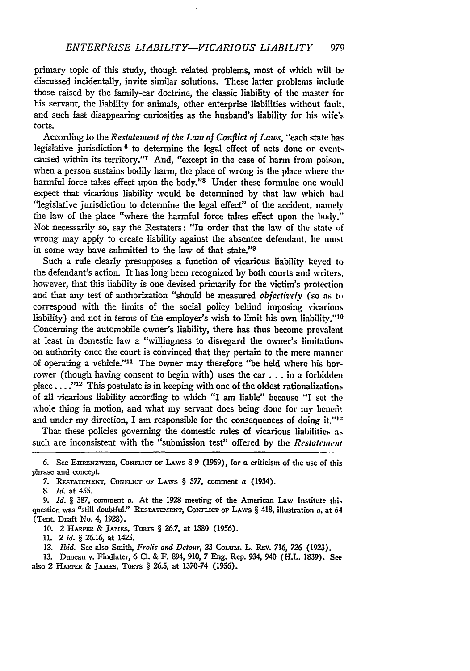primary topic of this study, though related problems, most of which will be discussed incidentally, invite similar solutions. These latter problems include those raised by the family-car doctrine, the classic liability of the master for his servant, the liability for animals, other enterprise liabilities without fault. and such fast disappearing curiosities as the husband's liability for his wife', torts.

According to the *Restatement of the Law of Conflict of Laws,* "each state has legislative jurisdiction **6** to determine the legal effect of acts done or event, caused within its territory."<sup>7</sup> And, "except in the case of harm from poison, when a person sustains bodily harm, the place of wrong is the place where the harmful force takes effect upon the body."<sup>8</sup> Under these formulae one would expect that vicarious liability would be determined by that law which had "legislative jurisdiction to determine the legal effect" of the accident, namely the law of the place "where the harmful force takes effect upon the **body."** Not necessarily so, say the Restaters: "In order that the law of the state **of** wrong may apply to create liability against the absentee defendant, he must in some way have submitted to the law of that state."9

Such a rule clearly presupposes a function of vicarious liability keyed to the defendant's action. It has long been recognized by both courts and writers, however, that this liability is one devised primarily for the victim's protection and that any test of authorization "should be measured *objectively* (so as to correspond with the limits of the social policy behind imposing vicarious liability) and not in terms of the employer's wish to limit his own liability.'" Concerning the automobile owner's liability, there has thus become prevalent at least in domestic law a "willingness to disregard the owner's limitations on authority once the court is convinced that they pertain to the mere manner of operating a vehicle."<sup>11</sup> The owner may therefore "be held where his borrower (though having consent to begin with) uses the car **...**in a forbidden place **.... "12** This postulate is in keeping with one of the oldest rationalization., of all vicarious liability according to which "I am liable" because **"I** set the whole thing in motion, and what my servant does being done for my benefit and under my direction, I am responsible for the consequences of doing it."<sup>12</sup>

That these policies governing the domestic rules of vicarious liabilities **a.,** such are inconsistent with the "submission test" offered by the Restatement

*8. Id.* at 455.

*9. Id. §* 387, comment a. At the 1928 meeting of the American Law Institute tii, question was "still doubtful." RESTATEMENT, CONFLICT OF LAWS § 418, illustration a, at 64 (Tent. Draft No. 4, 1928).

10. 2 HARPER & JAMES, TORTS § 26.7, at 1380 (1956).

11. 2 *id. §* 26.16, at 1425.

12. *Ibid.* See also Smith, *Frolic* and *Detour,* 23 COLum. L. REv. 716, **726** (1923).

13. Duncan v. Findlater, 6 **Cl.** & F. 894, 910, **7** Eng. Rep. 934, 940 (H.L. 1839). See also 2 HARPER & JAMES, TORTS § 26.5, at 1370-74 (1956).

**<sup>6.</sup>** See EHRFNzwEIG, CoNFLICt **OF** LAws **8-9 (1959),** for a criticism of the use of this phrase and concept.

**<sup>7.</sup>** RESTATEmENT, **COmLICT** OF LAws § 377, comment a (1934).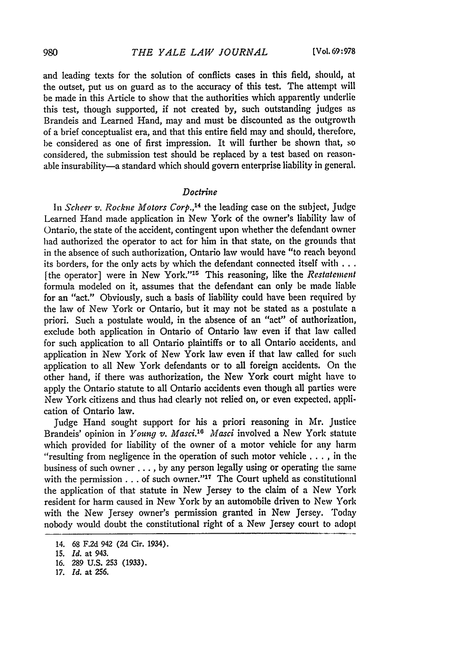and leading texts for the solution of conflicts cases in this field, should, at the outset, put us on guard as to the accuracy of this test. The attempt will be made in this Article to show that the authorities which apparently underlie this test, though supported, if not created by, such outstanding judges as Brandeis and Learned Hand, may and must be discounted as the outgrowth of a brief conceptualist era, and that this entire field may and should, therefore, be considered as one of first impression. It will further be shown that, so considered, the submission test should be replaced by a test based on reasonable insurability-a standard which should govern enterprise liability in general.

## *Doctrine*

*In* Scheer *v. Rockne Motors Corp.,'4* the leading case on the subject, Judge Learned Hand made application in New York of the owner's liability law of Ontario, the state of the accident, contingent upon whether the defendant owner had authorized the operator to act for him in that state, on the grounds that in the absence of such authorization, Ontario law would have "to reach beyond its borders, for the only acts by which the defendant connected itself with **...** [the operator] were in New York."'15 This reasoning, like the *Restatement* formula modeled on it, assumes that the defendant can only be made liable for an "act." Obviously, such a basis of liability could have been required by the law of New York or Ontario, but it may not be stated as a postulate a priori. Such a postulate would, in the absence of an "act" of authorization, exclude both application in Ontario of Ontario law even if that law called for such application to all Ontario plaintiffs or to all Ontario accidents, and application in New York of New York law even if that law called for such application to all New York defendants or to all foreign accidents. On the other hand, if there was authorization, the New York court might have to apply the Ontario statute to all Ontario accidents even though all parties were New York citizens and thus had clearly not relied on, or even expected, application of Ontario law.

Judge Hand sought support for his a priori reasoning in Mr. Justice Brandeis' opinion in *Young v. Masci.<sup>16</sup> Masci* involved a New York statute which provided for liability of the owner of a motor vehicle for any harm "resulting from negligence in the operation of such motor vehicle  $\dots$ , in the business of such owner ... **,** by any person legally using or operating the same with the permission  $\dots$  of such owner."<sup>17</sup> The Court upheld as constitutional the application of that statute in New Jersey to the claim of a New York resident for harm caused in New York by an automobile driven to New York with the New Jersey owner's permission granted in New Jersey. Today nobody would doubt the constitutional right of a New Jersey court to adopt

<sup>14.</sup> **68 F.2d** 942 **(2d** Cir. 1934).

**<sup>15.</sup>** *Id.* at 943.

**<sup>16. 289</sup> U.S. 253 (1933).**

*<sup>17.</sup> Id.* at **256.**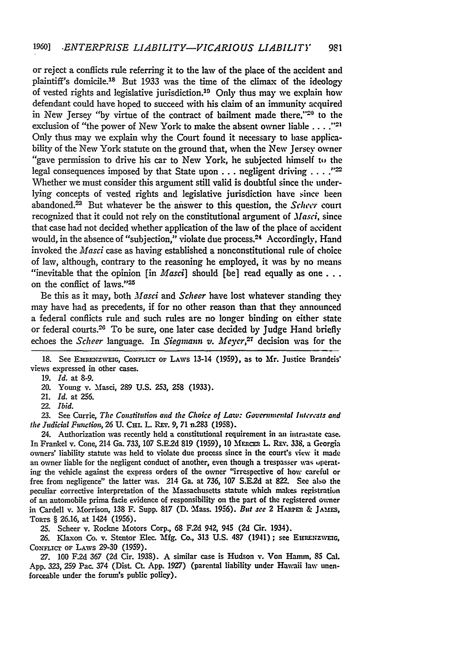or reject a conflicts rule referring it to the law of the place of the accident and plaintiff's domicile.<sup>18</sup> But 1933 was the time of the climax of the ideology of vested rights and legislative jurisdiction.10 Only thus may we explain how defendant could have hoped to succeed with his claim of an immunity acquired in New Jersey "by virtue of the contract of bailment made there," $20$  to the exclusion of "the power of New York to make the absent owner liable . . . ."<sup>21</sup> Only thus may we explain why the Court found it necessary to base applicability of the New York statute on the ground that, when the New Jersey owner "gave permission to drive his car to New York, he subjected himself to the legal consequences imposed by that State upon **...** negligent driving .... Whether we must consider this argument still valid is doubtful since the underlying concepts of vested rights and legislative jurisdiction have since been abandoned.<sup>23</sup> But whatever be the answer to this question, the *Scheer* court recognized that it could not rely on the constitutional argument of *.llasri,* since that case had not decided whether application of the law of the place of accident would, in the absence of "subjection," violate due process.<sup>24</sup> Accordingly, Hand invoked the *Masci* case as having established a nonconstitutional rule of choice of law, although, contrary to the reasoning he employed, it Was by no means "inevitable that the opinion [in *Masci]* should [be] read equally as one **...** on the conflict of laws."25

Be this as it may, both *Masci and Scheer* have lost whatever standing they may have had as precedents, if for no other reason than that they announced a federal conflicts rule and such rules are no longer binding on either state or federal courts.<sup>26</sup> To be sure, one later case decided by Judge Hand briefly echoes the *Scheer* language. In *Siegmann v. Meyer*,<sup>27</sup> decision was for the

**23.** See Currie, *The Constitution and the Choice of Law: Governuntal Inh'r sts and the Judicial Fuzction,* **26** U. **CHL** L. REv. *9,* 71 n283 **(1958).**

24. Authorization was recently held a constitutional requirement in an intrastate case. In Frankel v. Cone, 214 Ga. 733, 107 S.E2d 819 (1959), 10 MERcER L. REv. 338, a Georgia owners' liability statute was held to violate due process since in the court's view it made an owner liable for the negligent conduct of another, even though a trespasser was uperating the vehicle against the express orders of the owner "irrespective of how careful or free from negligence" the latter was. 214 Ga. at **736,** 107 S.F.2d at 822. See also the peculiar corrective interpretation of the Massachusetts statute which makes registratiun of an automobile prima fade evidence of responsibility on the part of the registered owner in Cardell v. Morrison, 138 **F.** Supp. 817 **(D.** M1ass. 1956). *But see* 2 **HARPER** *&* **J.AES,** TORTS § 26.16, at 1424 (1956).

**25.** Scheer v. Rockne Motors Corp., 68 **F2d** 942, 945 (2d Cir. 1934).

26. Klaxon Co. v. Stentor Elec. 7fg. Co., **313** U.S. **487** (1941) ; see EHuRENzw-G, CONFLICT OF LAWS 29-30 (1959).

27. 100 F.2d 367 **(2d** Cir. 1938). A similar case is Hudson v. Von Hamm, **85** Cal. App. **323,** 259 Pac. 374 (Dist. **Ct.** App. **1927)** (parental liability under Hawaii law unenforceable under the forum's public policy).

<sup>18.</sup> See EHRENZWEIG, CONFLICT OF LAWS 13-14 (1959), as to Mr. Justice Brandeis' views expressed in other cases.

*<sup>19.</sup> Id.* at 8-9.

<sup>20.</sup> Young v. Masci, **289 U.S. 253, 258** (1933).

<sup>21.</sup> *Id.* at 256.

*<sup>22.</sup> Ibid.*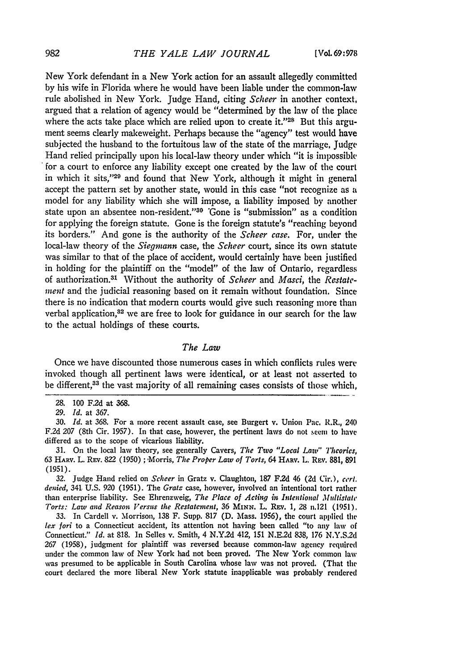New York defendant in a New York action for an assault allegedly committed by his wife in Florida where he would have been liable under the common-law rule abolished in New York. Judge Hand, citing *Scheer* in another context, argued that a relation of agency would be "determined by the law of the place where the acts take place which are relied upon to create **it."28** But this argument seems clearly makeweight. Perhaps because the "agency" test would have subjected the husband to the fortuitous law of the state of the marriage, Judge Hand relied principally upon his local-law theory under which "it is impossible for a court to enforce any liability except one created by the law of the court in which it sits,"<sup>29</sup> and found that New York, although it might in general accept the pattern set by another state, would in this case "not recognize as a model for any liability which she will impose, a liability imposed by another state upon an absentee non-resident."<sup>30</sup> Gone is "submission" as a condition for applying the foreign statute. Gone is the foreign statute's "reaching beyond its borders." And gone is the authority of the *Scheer case.* For, under the local-law theory of the *Siegmann* case, the *Scheer* court, since its own statute was similar to that of the place of accident, would certainly have been justified in holding for the plaintiff on the "model" of the law of Ontario, regardless of authorization. 31 Without the authority of *Scheer* and *Masci,* the *Restatement* and the judicial reasoning based on it remain without foundation. Since there is no indication that modem courts would give such reasoning more than verbal application,<sup>32</sup> we are free to look for guidance in our search for the law to the actual holdings of these courts.

## The Law

Once we have discounted those numerous cases in which conflicts rules were invoked though all pertinent laws were identical, or at least not asserted to be different,<sup>33</sup> the vast majority of all remaining cases consists of those which,

32. Judge Hand relied on *Scheer* in Gratz v. Claughton, **187** F.2d 46 **(2d** Cir.), *cert. denied,* 341 U.S. 920 (1951). The *Gratz* case, however, involved an intentional tort rather than enterprise liability. See Ehrenzweig, *The Place of Acting in Intentional Multistat' Torts: Law and Reason Versus the Restatement,* 36 **MINN.** L. REv. 1, 28 n.121 (1951).

33. In Cardell v. Morrison, 138 F. Supp. 817 **(D.** Mass. 1956), the court applied the *lex fori* to a Connecticut accident, its attention not having been called "to any law of Connecticut." *Id.* at 818. In Selles v. Smith, 4 N.Y.2d 412, 151 N.E.2d 838, 176 N.Y.S.2d 267 (1958), judgment for plaintiff was reversed because common-law agency required under the common law of New York had not been proved. The New York common law was presumed to be applicable in South Carolina whose law was not proved. (That the court declared the more liberal New York statute inapplicable was probably rendered

<sup>28. 100</sup> F2d at 368.

<sup>29.</sup> *Id.* at 367.

<sup>30.</sup> *Id.* at 368. For a more recent assault case, see Burgert v. Union Pac. R.R., 240 F.2d 207 (8th Cir. 1957). In that case, however, the pertinent laws do not seem to have differed as to the scope of vicarious liability.

<sup>31.</sup> On the local law theory, see generally Cavers, *The Two "Local* Law" *Theories,* 63 HARV. L. **REv.** 822 (1950) ; ,Morris, *The Proper Law of Torts,* 64 **HARV.** L. REv. 881, **891** (1951).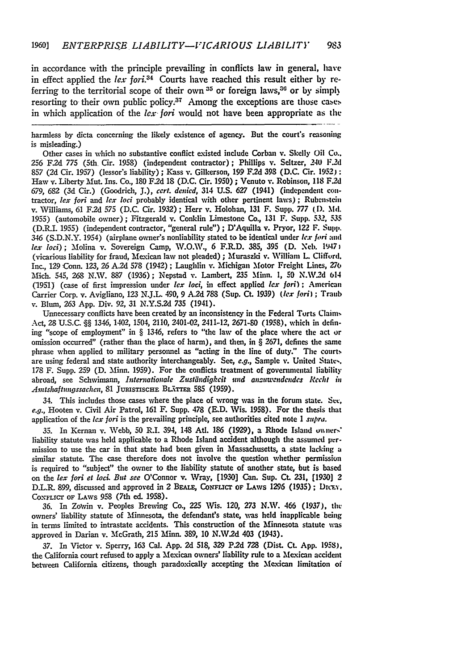in accordance with the principle prevailing in conflicts law in general, have in effect applied the *lex fori*.<sup>34</sup> Courts have reached this result either by referring to the territorial scope of their own  $35$  or foreign laws,  $36$  or by simply resorting to their own public policy. $37$  Among the exceptions are those cases in which application of the  $\ell_{ex}$  *fori* would not have been appropriate as the

harmless **by** dicta concerning the likely existence of agency. But the court's reasoning is misleading.)

Other cases in which no substantive conflict existed include Corban v. Skelly Oil Co., 256 F.2d 775 (5th Cir. 1958) (independent contractor) ; Phillips v. Seltzer, **240** Fl2d 857 **(2d** Cir. 1957) (lessor's liability); Kass v. Gilkerson, 199 F.2d **398** (D.C. Cir. 1952): Haw v. Liberty Mut. Ins. Co., 180 **F2d** 18 (D.C. Cir. 1950) ; Venuto v. Robinson, 118 **F2d** *679,* **682** (3d Cir.) (Goodrich, J.), *cert. denicd,* 314 U.S. 627 (1941) (independent contractor, **lex** *fori and* **fex** *loci* probably identical with other pertinent laws) ; Rubenstein v. Williams, 61 F.2d 575 (D.C. Cir. 1932); Herr v. Holohan, **131** F. Supp. *777* **(1). MLd.** 1955) (automobile owner); Fitzgerald v. Conklin Limestone Co., 131 F. Supp. 532, *535* (D.R.I. **1955)** (independent contractor, "general rule") ; D'Aquilla v. Pryor, 122 r. Supp. 346 (S.D.N.Y. 1954) (airplane owner's nonliability stated to be identical under **fex firi** and **lez** *loci);* 'Molina v. Sovereign Camp, **W.O.W.,** 6 F.R.D. 385, 395 (D. Xeb. 1947) (vicarious liability for fraud, Mexican law not pleaded); Muraszld v. William L Clifford. Inc., **129** Conn. *123, 26* A.2d 578 (1942) ; Laughlin **v.** Michigan Motor Freight Lines, **276** Mich. 545, 268 N.W. 887 (1936); Nepstad v. Lambert, 235 Minn. 1, 50 N.W.2d 614 **(71951)** (case of first impression under **lex** *foci,* in effect applied **fox** *fori);* American Carrier Corp. v. Avigiano, 123 NJ.L. 490, 9 A.2d **788** (Sup. Ct. 1939) *(fex fori)* ; Traub v. Blum, *263* App. Div. 92, 31 N.Y.S.2d 735 (1941).

Unnecessary conflicts have been created by an inconsistency in the Federal Torts Claims Act, 28 U.S.C. **§§** 1346, **1402,** 1504, 2110, 2401-02, 2411-12, **2671-80** (1958), which in defining "scope of employment" in § 1346, refers to "the law of the place where the act or omission occurred" (rather than the place of harm), and then, in § **2671,** defines the same phrase when applied to military personnel as "acting in the line of duty." The court are using federal and state authority interchangeably. See, *e.g.,* Sample v. United States, 178 F. Supp. **259** (D. Iinn. 1959). For the conflicts treatment of governmental liability abroad, see Schwimann, Internationale Zuständigkcit und anzuwendendes Recht in *Avtshafuingssachen,* 81 JuRisTIscHE BLITTER **585** (1959).

34. This includes those cases where the place of wrong was in the forum state. See, *e.g.,* Hooten v. Civil Air Patrol, 161 F. Supp. **478** (E.D. Wis. **1958).** For the thesis that application of the **lex** *fori* is the prevailing principle, see authorities cited note **1** *supra.*

35. In Kernan v. Webb, 50 R.I. 394, 148 Atl. 186 (1929), a Rhode Island owners' liability statute was held applicable to a Rhode Island accident although the assumed permission to use the car in that state had been given in Massachusetts, a state lacking **a** similar statute. The case therefore does not involve the question whether permission is required to "subject" the owner to the liability statute of another state, but is based on the **lez** *fori et* **loci.** *But see* O'Connor **v.** Wray, **[1930] Can.** Sup. Ct. **231, (1930]** 2 D.L.R. 899, discussed and approved in 2 BEALE, CONFLICT OF LAWS 1296 (1935); DICEY, COXFLiCr OF LAws **958** (7th ed. **1958).**

**36.** In Zo\vin v. Peoples Brewing Co., **225** Wis. 120, **273** N.W. 466 (1937), the owners' liability statute of 'Minnesota, the defendant's state, was held inapplicable being in terms limited to intrastate accidents. This construction of the Minnesota statute was approved in Darian v. McGrath, **215** Minn. 389, 10 **N.W.2d** 403 (1943).

**37.** In Victor v. Sperry, **163** Cal. **App. 2d** 518, **329 P.2d 728** (Dist. Ct. **App. 1958j,** the California court refused to apply a Mexican owners' liability rule to a Mexican accident between California citizens, though paradoxically accepting the Mexican limitation oi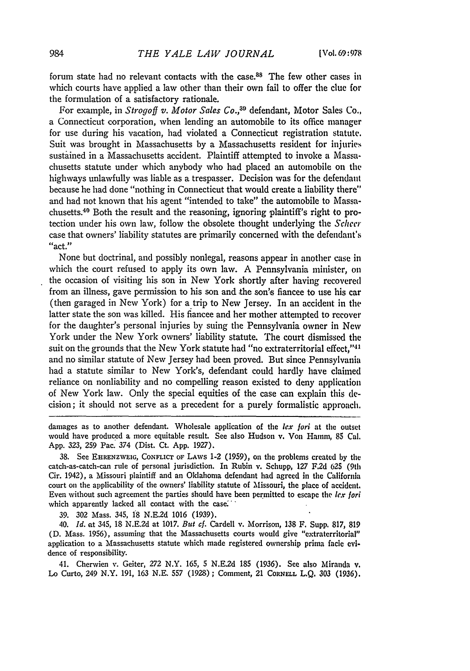forum state had no relevant contacts with the case.<sup>88</sup> The few other cases in which courts have applied a law other than their own fail to offer the clue **for** the formulation of a satisfactory rationale.

For example, in *Strogoff v. Motor Sales Co.,30* defendant, Motor Sales Co., a Connecticut corporation, when lending an automobile to its office manager for use during his vacation, had violated a Connecticut registration statute. Suit was brought in Massachusetts by a Massachusetts resident for injuries sustained in a Massachusetts accident. Plaintiff attempted to invoke a Massachusetts statute under which anybody who had placed an automobile on the highways unlawfully was liable as a trespasser. Decision was for the defendant because he had done "nothing in Connecticut that would create a liability there" and had not known that his agent "intended to take" the automobile to Massachusetts. 40 Both the result and the reasoning, ignoring plaintiff's right to protection under his own law, follow the obsolete thought underlying the *Scheer* case that owners' liability statutes are primarily concerned with the defendant's "act."

None but doctrinal, and possibly nonlegal, reasons appear in another case in which the court refused to apply its own law. A Pennsylvania minister, on the occasion of visiting his son in New York shortly after having recovered from an illness, gave permission to his son and the son's fiancee to use his car (then garaged in New York) for a trip to New Jersey. In an accident in the latter state the son was killed. His fiancee and her mother attempted to recover for the daughter's personal injuries by suing the Pennsylvania owner in New York under the New York owners' liability statute. The court dismissed the suit on the grounds that the New York statute had "no extraterritorial effect,"41 and no similar statute of New Jersey had been proved. But since Pennsylvania had a statute similar to New York's, defendant could hardly have claimed reliance on nonliability and no compelling reason existed to deny application of New York law. Only the special equities of the case can explain this decision; it should not serve as a precedent for a purely formalistic approach.

damages as to another defendant. Wholesale application of the *lex fori* at the outset would have produced a more equitable result. See also Hudson v. Von Hamm, 85 Cal. App. 323, **259** Pac. 374 (Dist. Ct. App. 1927).

38. See ErRENZWIG, CONFLIcT **OF** LAWs 1-2 (1959), on the problems created by the catch-as-catch-can rule of personal jurisdiction. In Rubin v. Schupp, **127** F.2d **625** (9th Cir. 1942), a Missouri plaintiff and an Oklahoma defendant had agreed in the California court on the applicability of the owners' liability statute of Missouri, the place of accident. Even without such agreement the parties should have been permitted to escape the *lex* fori which apparently lacked all contact with the case.''

39. 302 Mass. 345, 18 **N.E.2d** 1016 (1939).

40. *Id.* at 345, 18 N.E.2d at 1017. But cf. Cardell v. Morrison, 138 F. Supp. 817, 819 (D. Mass. 1956), assuming that the Massachusetts courts would give "extraterritorial" application to a Massachusetts statute which made registered ownership prima fade evidence of responsibility.

41. Cherwien v. Geiter, *272* N.Y. 165, **5 N.E2d 185** (1936). See also Miranda v. Lo Curto, 249 N.Y. 191, 163 N.E. **557** (1928); Comment, 21 CoRNEL. L.Q. 303 (1936).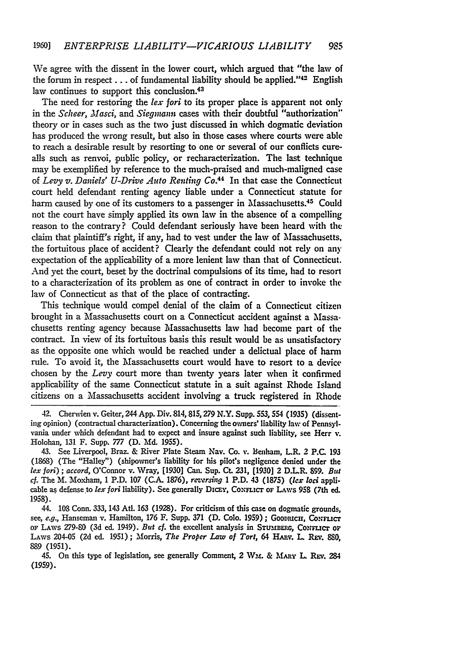We agree with the dissent in the lower court, which argued that "the law of the forum in respect... of fundamental liability should be applied." $42$  English law continues to support this conclusion.<sup>43</sup>

The need for restoring the *lex* fori to its proper place is apparent not only in the *Scheer, Masci, and Sieginann* cases with their doubtful "authorization" theory or in cases such as the two just discussed in which dogmatic deviation has produced the wrong result, but also in those cases where courts were able to reach a desirable result by resorting to one or several of our conflicts cureals such as renvoi, public policy, or recharacterization. The last technique may be exemplified **by** reference to the much-praised and much-maligned case of *Levy v. Daniels' U-Drive Auto Renting* **Co.44** In that case the Connecticut court held defendant renting agency liable under a Connecticut statute for harm caused by one of its customers to a passenger in Massachusetts.<sup>45</sup> Could not the court have simply applied its own law in the absence of a compelling reason to the contrary? Could defendant seriously have been heard with the claim that plaintiff's right, if any, had to vest under the law of Massachusetts, the fortuitous place of accident? Clearly the defendant could not rely on any expectation of the applicability of a more lenient law than that of Connecticut. And yet the court, beset by the doctrinal compulsions of its time, had to resort to a characterization of its problem as one of contract in order to invoke the law of Connecticut as that of the place of contracting.

This technique would compel denial of the claim of a Connecticut citizen brought in a Massachusetts court on a Connecticut accident against a Massachusetts renting agency because Massachusetts law had become part of the contract. In view of its fortuitous basis this result would be as unsatisfactory as the opposite one which would be reached under a delictual place of harm rule. To avoid it, the Massachusetts court would have to resort to a device chosen by the *Levy* court more than twenty years later when it confirmed applicability of the same Connecticut statute in a suit against Rhode Island citizens on a Massachusetts accident involving a truck registered in Rhode

<sup>42.</sup> Cherwien v. Geiter, 244 App. Div. 814, 815, 279 N.Y. Supp. 553, 554 (1935) (dissenting opinion) (contractual characterization). Concerning the owners' liability law of Pennsylvania under which defendant had to expect and insure against such liability, see Herr **v.** Holohan, **131** F. Supp. 777 **(D. Md.** 1955).

<sup>43.</sup> See Liverpool, Braz. & River Plate Steam Nay. Co. v. Benham, LR. 2 P.C. 193 (1868) (The "Halley") (shipowner's liability for his pilot's negligence denied under the *lex* fori) *; accord,* O'Connor v. Wray, [1930] Can. Sup. Ct. **231,** [1930] 2 D.LR. 899. *But cf.* The M. Moxham, 1 P.D. 107 (C.A. 1876), *reversing* 1 P.D. 43 (1875) *(lex loci appli*cable as defense to *lex fori* liability). See generally DICEY, CONFLICT OF LAWS 958 (7th ed. 1958).

<sup>44.</sup> **108** Conn. **333, 143** At. **163 (1928).** For criticism of this case on dogmatic grounds, see, e.g., Hanseman v. Hamilton, 176 F. Supp. 371 (D. Colo. 1959); GoopRICH, CONFLICT OF LAWS 279-80 (3d ed. 1949). *But cf.* the excellent analysis in STUMBERG, CONFLICT OF LAws 204-05 (2d ed. 1951); Morris, *The Proper Law of Tort,* 64 *HAv. L.* **REv. 880,** 889 (1951).

<sup>45.</sup> On this type of legislation, see generally Comment, 2 **Vm. & MAnY** L REv. 284 (1959).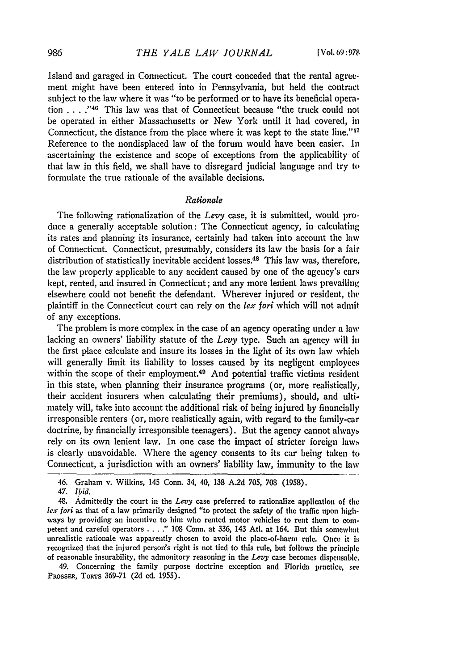Island and garaged in Connecticut. The court conceded that the rental agreement might have been entered into in Pennsylvania, but held the contract subject to the law where it was "to be performed or to have its beneficial operation . . . .<sup>746</sup> This law was that of Connecticut because "the truck could not be operated in either Massachusetts or New York until it had covered, in Connecticut, the distance from the place where it was kept to the state line."<sup>17</sup> Reference to the nondisplaced law of the forum would have been easier. In ascertaining the existence and scope of exceptions from the applicability of that law in this field, we shall have to disregard judicial language and try to formulate the true rationale of the available decisions.

## *Rationale*

The following rationalization of the *Levy* case, it is submitted, would produce a generally acceptable solution: The Connecticut agency, in calculating its rates and planning its insurance, certainly had taken into account the law of Connecticut. Connecticut, presumably, considers its law the basis for a fair distribution of statistically inevitable accident losses.48 This law was, therefore, the law properly applicable to any accident caused by one of the agency's cars kept, rented, and insured in Connecticut; and any more lenient laws prevailing elsewhere could not benefit the defendant. Wherever injured or resident, the plaintiff in the Connecticut court can rely on the *lex* fori which will not admit of any exceptions.

The problem is more complex in the case of an agency operating under a law lacking an owners' liability statute of the *Levy* type. Such an agency will in the first place calculate and insure its losses in the light of its own law which will generally limit its liability to losses caused by its negligent employees within the scope of their employment.<sup>40</sup> And potential traffic victims resident in this state, when planning their insurance programs (or, more realistically, their accident insurers when calculating their premiums), should, and ultimately will, take into account the additional risk of being injured by financially irresponsible renters (or, more realistically again, with regard to the family-car doctrine, by financially irresponsible teenagers). But the agency cannot always rely on its own lenient law. In one case the impact of stricter foreign laws is clearly unavoidable. Where the agency consents to its car being taken to Connecticut, a jurisdiction with an owners' liability law, immunity to the law

49. Concerning the family purpose doctrine exception and Florida practice, see **PRossER, TORTS** 369-71 **(2d ed.** 1955).

<sup>46.</sup> Graham v. Wilkins, 145 Conn. 34, 40, 138 A2d 705, 708 (1958).

*<sup>47.</sup> Ibid.*

<sup>48.</sup> Admittedly the court in the *Levy* case preferred to rationalize application **of** the lex fori as that of a law primarily designed "to protect the safety of the traffic upon highways by providing an incentive to him who rented motor vehicles to rent them to competent and careful operators . **. . ."** 108 Conn. at 336, 143 Atl. at 164. But this somewhat unrealistic rationale was apparently chosen to avoid the place-of-harm rule. Once it is recognized that the injured person's right is not tied to this rule, but follows the principle of reasonable insurability, the admonitory reasoning in the *Levy* case becomes dispensable.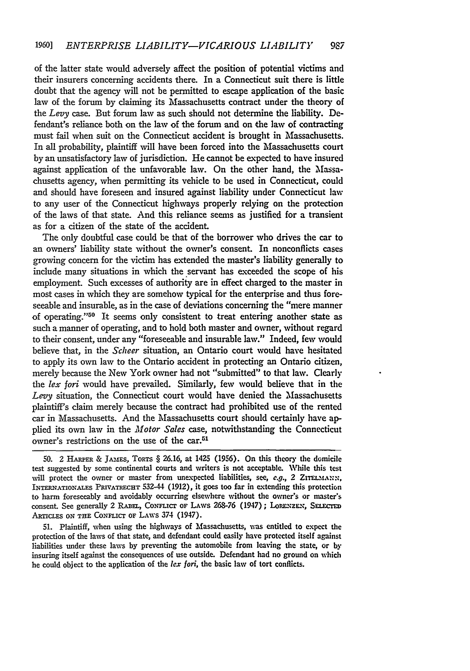of the latter state would adversely affect the position of potential victims and their insurers concerning accidents there. In a Connecticut suit there is little doubt that the agency will not be permitted to escape application of the basic law of the forum by claiming its Massachusetts contract under the theory of the *Levy* case. But forum law as such should not determine the liability. Defendant's reliance both on the law of the forum and on the law of contracting must fail when suit on the Connecticut accident is brought in Massachusetts. In all probability, plaintiff will have been forced into the Massachusetts court by an unsatisfactory law of jurisdiction. He cannot be expected to have insured against application of the unfavorable law. On the other hand, the Massachusetts agency, when permitting its vehicle to be used in Connecticut, could and should have foreseen and insured against liability under Connecticut law to any user of the Connecticut highways properly relying on the protection of the laws of that state. And this reliance seems as justified for a transient as for a citizen of the state of the accident.

The only doubtful case could be that of the borrower who drives the car to an owners' liability state without the owner's consent. In nonconflicts cases growing concern for the victim has extended the master's liability generally to include many situations in which the servant has exceeded the scope of his employment. Such excesses of authority are in effect charged to the master in most cases in which they are somehow typical for the enterprise and thus foreseeable and insurable, as in the case of deviations concerning the "mere manner of operating." 50 It seems only consistent to treat entering another state as such a manner of operating, and to hold both master and owner, without regard to their consent, under any "foreseeable and insurable law." Indeed, few would believe that, in the *Scheer* situation, an Ontario court would have hesitated to apply its own law to the Ontario accident in protecting an Ontario citizen, merely because the New York owner had not "submitted" to that law. Clearly the *lex fori* would have prevailed. Similarly, few would believe that in the *Levy* situation, the Connecticut court would have denied the Massachusetts plaintiff's claim merely because the contract had prohibited use of the rented car in Massachusetts. And the Massachusetts court should certainly have applied its own law in the *Motor Sales* case, notwithstanding the Connecticut owner's restrictions on the use of the car.<sup>51</sup>

51. Plaintiff, when using the highways of Massachusetts, was entitled to expect the protection of the laws of that state, and defendant could easily have protected itself against liabilities under these laws by preventing the automobile from leaving the state, or by insuring itself against the consequences of use outside. Defendant had no ground on which he could object to the application of the lex fori, the basic law of tort conflicts.

**<sup>50.</sup>** 2 HARPER & **JAmIEs,** TORTS **§ 26.16,** at 1425 (1956). On this theory the domicile test suggested by some continental courts and writers is not acceptable. While this test will protect the owner or master from unexpected liabilities, see, *e.g.*, 2 ZITELMARIS, INTERNATIONALES PRIVATRECHT 532-44 (1912), it goes too far in extending this protection to harm foreseeably and avoidably occurring elsewhere without the owner's or master's consent. See generally 2 RABEL, CONFLICT OF LAWS 268-76 (1947); LORENZEN, SELECTED ARTICLES ON THE CONFLICT OF LAWS 374 (1947).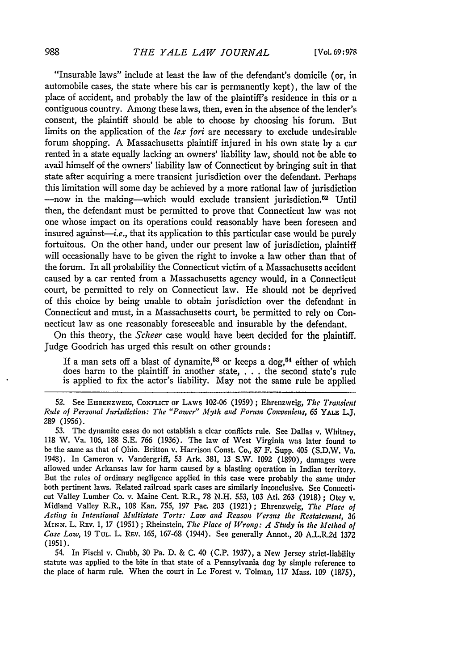"Insurable laws" include at least the law of the defendant's domicile (or, in automobile cases, the state where his car is permanently kept), the law of the place of accident, and probably the law of the plaintiff's residence in this or a contiguous country. Among these laws, then, even in the absence of the lender's consent, the plaintiff should be able to choose **by** choosing his forum. But limits on the application of the *lex fori* are necessary to exclude undesirable forum shopping. A Massachusetts plaintiff injured in his own state **by** a car rented in a state equally lacking an owners' liability law, should not 'be able to avail himself of the owners' liability law of Connecticut by 'bringing suit in that state after acquiring a mere transient jurisdiction over the defendant. Perhaps this limitation will some day be achieved **by** a more rational law of jurisdiction -now in the making-which would exclude transient jurisdiction.<sup>52</sup> Until then, the defendant must be permitted to prove that Connecticut law was not one whose impact on its operations could reasonably have been foreseen and insured against—*i.e.*, that its application to this particular case would be purely fortuitous. On the other hand, under our present law of jurisdiction, plaintiff will occasionally have to be given the right to invoke a law other than that of the forum. In all probability the Connecticut victim of a Massachusetts accident caused **by** a car rented from a Massachusetts agency would, in a Connecticut court, be permitted to rely on Connecticut law. He should not be deprived of this choice **by** being unable to obtain jurisdiction over the defendant in Connecticut and must, in a Massachusetts court, be permitted to rely on Connecticut law as one reasonably foreseeable and insurable **by** the defendant.

On this theory, the *Scheer* case would have been decided for the plaintiff. Judge Goodrich has urged this result on other grounds:

If a man sets off a blast of dynamite,<sup>53</sup> or keeps a dog,<sup>54</sup> either of which does harm to the plaintiff in another state, **. . .** the second state's rule is applied to fix the actor's liability. May not the same rule be applied

54. In Fischl v. Chubb, 30 Pa. D. & C. 40 (C.P. 1937), a New Jersey strict-liability statute was applied to the bite in that state of a Pennsylvania dog by simple reference to the place of harm rule. When the court in Le Forest v. Tolman, 117 Mass. **109** (1875),

**<sup>52.</sup>** See EHRENZWEIG, CONFLICT OF LAWS 102-06 (1959) ; Ehrenzweig, *The Transient Rule of Personal Jurisdiction: The "Power" Myth and Forum Conveniens, 65* YALE L.J. **289 (1956).**

**<sup>53.</sup>** The dynamite cases do not establish a clear conflicts rule. See Dallas v. Whitney, 118 W. Va. 106, 188 **S.E.** 766 (1936). The law of West Virginia was later found to be the same as that of Ohio. Britton v. Harrison Const. Co., 87 F. Supp. 405 (S.D.W. Va. 1948). In Cameron v. Vandergriff, 53 Ark. 381, 13 S.W. 1092 (1890), damages were allowed under Arkansas law for harm caused by a blasting operation in Indian territory. But the rules of ordinary negligence applied in this case were probably the same under both pertinent laws. Related railroad spark cases are similarly inconclusive, See Connecticut Valley Lumber Co. v. Maine Cent. R.R., 78 **N.H.** 553, 103 Atl. 263 (1918); Otey **v.** Midland Valley R.R., 108 Kan. 755, 197 Pac. 203 (1921); Ehrenzweig, *The Place of Acting in Intentional Multistate Torts: Law and Reason Versus the Restatement,* <sup>36</sup> *MINN.* L. REv. 1, 17 (1951) ; Rheinstein, *The Place of Wrong: A Study in the Method of Case Law,* 19 **TUL.** L. REv. 165, 167-68 (1944). See generally Annot., 20 A.L.R.2d 1372 (1951).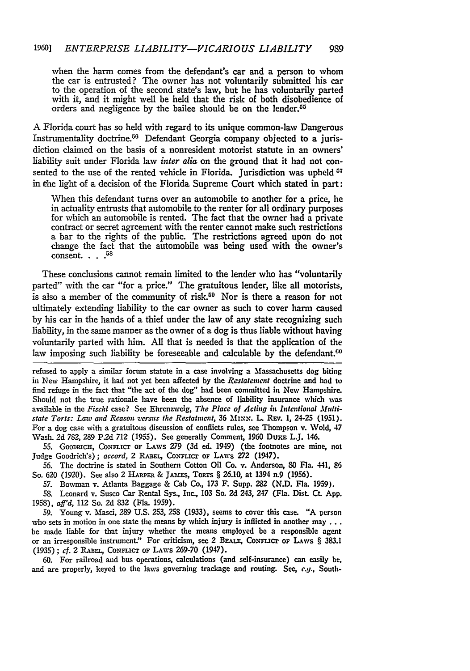when the harm comes from the defendant's car and a person to whom the car is entrusted? The owner has not voluntarily submitted his car to the operation of the second state's law, but he has voluntarily parted with it, and it might well be held that the risk of both disobedience of orders and negligence by the bailee should be on the lender.<sup>55</sup>

A Florida court has so held with regard to its unique common-law Dangerous Instrumentality doctrine.56 Defendant Georgia company objected to a jurisdiction claimed on the basis of a nonresident motorist statute in an owners' liability suit under Florida law *inter alia* on the ground that it had not consented to the use of the rented vehicle in Florida. Jurisdiction was upheld **5** in the light of a decision of the Florida Supreme Court which stated in part:

When this defendant turns over an automobile to another for a price, he in actuality entrusts that automobile to the renter for all ordinary purposes for which an automobile is rented. The fact that the owner had a private contract or secret agreement with the renter cannot make such restrictions a bar to the rights of the public. The restrictions agreed upon do not change the fact that the automobile was being used with the owner's consent. **.... 58**

These conclusions cannot remain limited to the lender who has "voluntarily parted" with the car "for a price." The gratuitous lender, like all motorists, is also a member of the community of risk.<sup>59</sup> Nor is there a reason for not ultimately extending liability to the car owner as such to cover harm caused by his car in the hands of a thief under the law of any state recognizing such liability, in the same manner as the owner of a dog is thus liable without having voluntarily parted with him. All that is needed is that the application of the law imposing such liability be foreseeable and calculable by the defendant. $60$ 

refused to apply a similar forum statute in a case involving a Massachusetts dog biting in New Hampshire, it had not yet been affected by the *Restatement* doctrine and had tu find refuge in the fact that "the act of the dog" had been committed in **New** Hampshire. Should not the true rationale have been the absence of liability insurance which was available in the *Fischl* case? See Ehrenzveig, *The Place of Acting in Intentional* Multi*state Torts: Law and Reason versus the Restatment, 36 MINN. L. REV. 1, 24-25 (1951).* For a dog case with a gratuitous discussion of conflicts rules, see Thompson **v.** Wold, 47 Wash. 2d 782, 289 P.2d 712 (1955). See generally Comment, 1960 Dure L.J. 146.

**55.** Goomuc, CoNFLicT OF LAws **279 (3d ed.** 1949) (the footnotes are mine, not Judge Goodrich's); *accord,* 2 RABEr, CONFLICr **OF** LAws *272* (1947).

**56.** The doctrine is stated in Southern Cotton Oil **Co.** v. Anderson, **80** Fla. 441, 86 So. **620 (1920).** See also 2 HARPER **& JAmEs,** TORTS **§ 26.10,** at 1394 **n.9 (1956).**

**57.** Bowman v. Atlanta Baggage & Cab Co., **173** F. Supp. **282 (N.D.** Fla. **1959).**

**58.** Leonard v. Susco Car Rental Sys., Inc., **103** So. **2d** 243, 247 (Fla. Dist. **Ct. App. 1958),** *aff'd,* 112 So. **2d 832** (Fla. **1959).**

**59.** Young **v.** fasci, **289 U.S. 253, 258 (1933),** seems to cover this case. **"A** person who sets in motion in one state the means **by** which injury is inflicted in another may **...** be made liable for that injury whether the means employed be a responsible agent or an irresponsible instrument." For criticism, see 2 BEALE, CONFLICT OF LAWS § 383.1 (1935) **; cf.** 2 **RABEL,** CONFLICT **OF** LAws **269-70** (1947).

**60.** For railroad and bus operations, calculations (and self-insurance) **can easily be,** and are properly, keyed to the laws governing **trackage** and routing. **See,** *e.g.,* South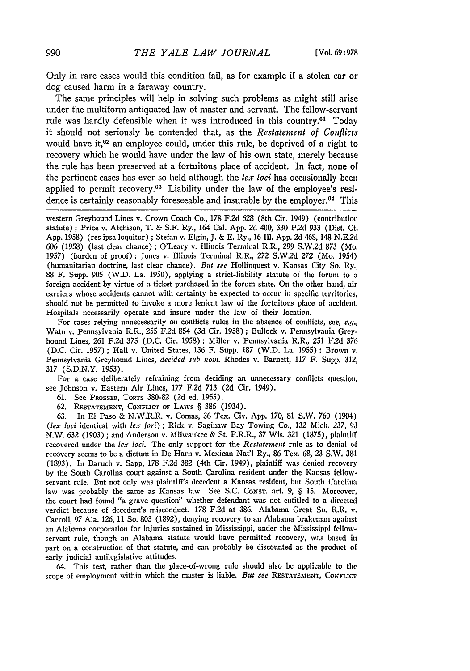Only in rare cases would this condition fail, as for example if a stolen car or dog caused harm in a faraway country.

The same principles will help in solving such problems as might still arise under the multiform antiquated law of master and servant. The fellow-servant rule was hardly defensible when it was introduced in this country.01 Today it should not seriously be contended that, as the *Restatement of Conflicts* would have it,<sup>62</sup> an employee could, under this rule, be deprived of a right to recovery which he would have under the law of his own state, merely because the rule has been preserved at a fortuitous place of accident. In fact, none of the pertinent cases has ever so held although the *lex loci* has occasionally been applied to permit recovery.<sup>63</sup> Liability under the law of the employee's residence is certainly reasonably foreseeable and insurable by the employer. $04$  This

western Greyhound Lines v. Crown Coach Co., 178 F.2d 628 (8th Cir. 1949) (contribution statute) ; Price v. Atchison, T. & S.F. Ry., 164 Cal. App. 2d 400, 330 P2d 933 (Dist. Ct. App. 1958) (res ipsa loquitur) ; Stefan v. Elgin, **J.** & E. Ry., 16 Ill. **App.** 2d 468, 148 N.E.2d 606 (1958) (last clear chance) **;** O'Leary v. Illinois Terminal R.R., 299 S.W.2d 873 (Mo. 1957) (burden of proof) ; Jones v. Illinois Terminal R.R., *272* S.W.2d 272 (Mo. 1954) (humanitarian doctrine, last clear chance). *But* see Hollinquest v. Kansas City So. Ry., 88 F. Supp. 905 (W.D. La. 1950), applying a strict-liability statute of the forum to a foreign accident by virtue of a ticket purchased in the forum state. On the other hand, air carriers whose accidents cannot with certainty be expected to occur in specific territories, should not be permitted to invoke a more lenient law of the fortuitous place of accident. Hospitals necessarily operate and insure under the law of their location.

For cases relying unnecessarily on conflicts rules in the absence of conflicts, see, *e.g.,* Watn v. Pennsylvania RR., 255 F.2d 854 (3d Cir. 1958); Bullock v. Pennsylvania Greyhound Lines, 261 F.2d 375 (D.C. Cir. 1958); Miller v. Pennsylvania R.R., 251 F.2d 376 (D.C. Cir. 1957) ; Hall v. United States, 136 F. Supp. 187 (W.D. La. 1955): Brown v. Pennsylvania Greyhound Lines, *decided sub nora.* Rhodes v. Barnett, 117 F. Supp. 312, 317 (S.D.N.Y. 1953).

For a case deliberately refraining from deciding an unnecessary conflicts question, see Johnson v. Eastern Air Lines, 177 F.2d 713 (2d Cir. 1949).

**61.** See **PROSSER,** TORTS **380-82 (2d** ed. **1955).**

62. **RESTATEMENT,** CONFLICT OF LAWS § 386 (1934).

63. In El Paso & N.W.R.R. v. Comas, 36 Tex. Civ. **App.** 170, 81 S.W. 760 (1904) *(lez loci* identical with *lex fori);* Rick v. Saginaw Bay Towing Co., *132* Mich. *237,* <sup>93</sup> N.W. **632** (1903) ; and Anderson v. Milwaukee & St. P.R.R., 37 Wis. **321** (1875), plaintiff recovered under the *lex foci.* The only support for the *Restatement* rule as to denial **of** recovery seems to be a dictum in De Harn v. Mexican Nat'l Ry., 86 Tex. 68, **23** S.W. **381** (1893). In Baruch v. Sapp, **178** F.2d **382** (4th Cir. 1949), plaintiff was denied recovery by the South Carolina court against a South Carolina resident under the Kansas fellowservant rule. But not only was plaintiff's decedent a Kansas resident, but South Carolina law was probably the same as Kansas law. See S.C. Consr. art. 9, § 15. Moreover, the court had found "a grave question" whether defendant was not entitled to a directed verdict because of decedent's misconduct. 178 F.2d at 386. Alabama Great So. R.R. v. Carroll, 97 Ala. 126, 11 So. 803 (1892), denying recovery to an Alabama brakeman against an Alabama corporation for injuries sustained in Mississippi, under the Mississippi fellowservant rule, though an Alabama statute would have permitted recovery, was based in part on a construction of that statute, and can probably be discounted as the product of early judicial antilegislative attitudes.

64. This test, rather than the place-of-wrong rule should also be applicable to the scope of employment within which the master is liable. *But see* **RESTATEMENT, CONFLICT**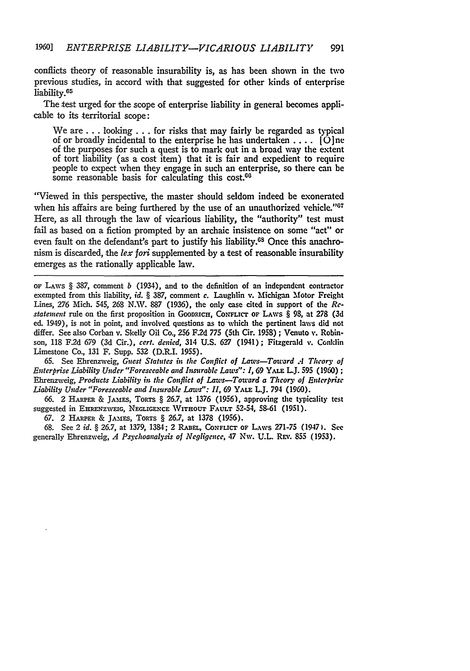conflicts theory of reasonable insurability is, as has been shown in the two previous studies, in accord with that suggested for other kinds of enterprise liability.<sup>65</sup>

The test urged for the scope of enterprise liability in general becomes applicable to its territorial scope:

We are **...** looking **...** for risks that may fairly be regarded as typical of or broadly incidental to the enterprise he has undertaken  $\dots$  [O]ne of the purposes for such a quest is to mark out in a broad way the extent of tort liability (as a cost item) that it is fair and expedient to require people to expect when they engage in such an enterprise, so there can be some reasonable basis for calculating this cost.<sup>00</sup>

"Viewed in this perspective, the master should seldom indeed be exonerated when his affairs are being furthered by the use of an unauthorized vehicle."<sup>67</sup> Here, as all through the law of vicarious liability, the "authority" test must fail as based on a fiction prompted **by** an archaic insistence on some "act" or even fault on the defendant's part to justify his liability.<sup>03</sup> Once this anachronism is discarded, the lex fori supplemented by a test of reasonable insurability emerges as the rationally applicable law.

**OF** LAws § 387, comment *b* (1934), and to the definition of an independent contractor exempted from this liability, *id. §* 387, comment *e.* Laughlin v. Michigan Motor Freight Lines, 276 Mich. 545, 268 N.W. 887 (1936), the only case cited in support of the Restatement rule on the first proposition in GOODRICH, CONFLICT OF LAWS § 98, at 278 (3d ed. 1949), is not in point, and involved questions as to which the pertinent laws did not differ. See also Corban v. Skelly Oil Co., **256** F2d 775 (5th Cir. 1958) ; Venuto v. Robinson, 118 F.2d 679 (3d Cir.), cert. denied, 314 U.S. 627 (1941); Fitzgerald v. Conklin Limestone Co., 131 F. Supp. 532 (D.R.I. 1955).

**65.** See Ehrenzweig, *Guest Statutes in the Conflict of La-s-Toward* **A!** *Theory of Enterprise Liability Under "Foreseeable and Insurable Laws": I,* 69 YALE LJ. **595** (1960) **;** Ehrenzweig, *Products- Liability in the Conflict of Lazes-Toward a Theory of Enterprise Liability Under "Foreseeable and Insurable Laws": 1I,* 69 YALE LJ. 794 (1960).

66. 2 **HARPER** & JAEs, ToRTs § 26.7, at 1376 (1956), approving the typicality test suggested in EHRENZWEIG, NEGLIGENCE WITHOUT FAULT 52-54, 58-61 (1951).

67. 2 HARPER & JAMES, TORTS *§ 26.7,* at 1378 (1956).

68. See 2 *id. §* 26.7, at 1379, 1384; 2 RABER, **CONFuCT OF** LAWS 271-75 (1947). See generally Ehrenzweig, *A Psychoanalysis of Negligence*, 47 Nw. U.L. REv. 855 (1953).